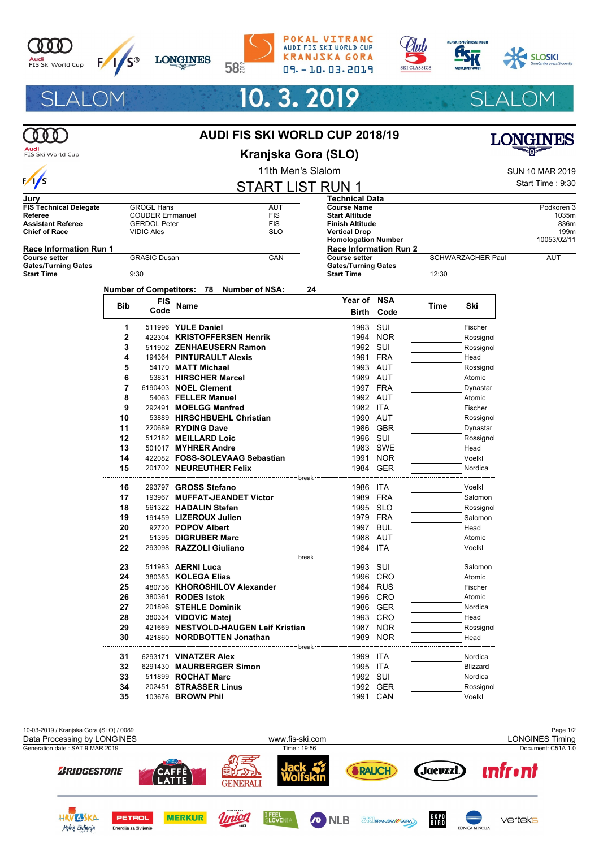

 $\frac{1}{s}$ 

Jury

Referee

**Start Time** 











 $1035m$ 

836m

199m

**AUT** 



## 10.3.2019